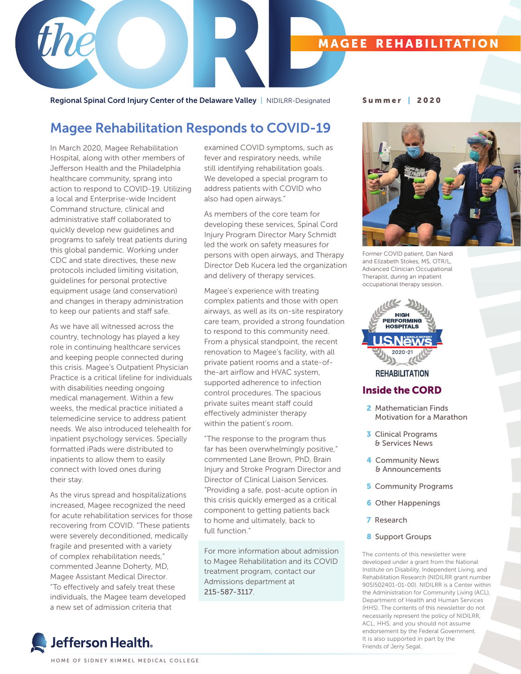### **MAGEE REHABILITATION**

Regional Spinal Cord Injury Center of the Delaware Valley | NIDILRR-Designated Summer | 2020

## Magee Rehabilitation Responds to COVID-19

In March 2020, Magee Rehabilitation Hospital, along with other members of Jefferson Health and the Philadelphia healthcare community, sprang into action to respond to COVID-19. Utilizing a local and Enterprise-wide Incident Command structure, clinical and administrative staff collaborated to quickly develop new guidelines and programs to safely treat patients during this global pandemic. Working under CDC and state directives, these new protocols included limiting visitation, guidelines for personal protective equipment usage (and conservation) and changes in therapy administration to keep our patients and staff safe.

As we have all witnessed across the country, technology has played a key role in continuing healthcare services and keeping people connected during this crisis. Magee's Outpatient Physician Practice is a critical lifeline for individuals with disabilities needing ongoing medical management. Within a few weeks, the medical practice initiated a telemedicine service to address patient needs. We also introduced telehealth for inpatient psychology services. Specially formatted iPads were distributed to inpatients to allow them to easily connect with loved ones during their stay.

As the virus spread and hospitalizations increased, Magee recognized the need for acute rehabilitation services for those recovering from COVID. "These patients were severely deconditioned, medically fragile and presented with a variety of complex rehabilitation needs," commented Jeanne Doherty, MD, Magee Assistant Medical Director. "To effectively and safely treat these individuals, the Magee team developed a new set of admission criteria that

examined COVID symptoms, such as fever and respiratory needs, while still identifying rehabilitation goals. We developed a special program to address patients with COVID who also had open airways."

As members of the core team for developing these services, Spinal Cord Injury Program Director Mary Schmidt led the work on safety measures for persons with open airways, and Therapy Director Deb Kucera led the organization and delivery of therapy services.

Magee's experience with treating complex patients and those with open airways, as well as its on-site respiratory care team, provided a strong foundation to respond to this community need. From a physical standpoint, the recent renovation to Magee's facility, with all private patient rooms and a state-ofthe-art airflow and HVAC system, supported adherence to infection control procedures. The spacious private suites meant staff could effectively administer therapy within the patient's room.

"The response to the program thus far has been overwhelmingly positive," commented Lane Brown, PhD, Brain Injury and Stroke Program Director and Director of Clinical Liaison Services. "Providing a safe, post-acute option in this crisis quickly emerged as a critical component to getting patients back to home and ultimately, back to full function."

For more information about admission to Magee Rehabilitation and its COVID treatment program, contact our Admissions department at 215-587-3117.



Former COVID patient, Dan Nardi and Elizabeth Stokes, MS, OTR/L, Advanced Clinician Occupational Therapist, during an inpatient occupational therapy session.



### **REHABILITATION**

### Inside the CORD

- 2 Mathematician Finds Motivation for a Marathon
- 3 Clinical Programs & Services News
- 4 Community News & Announcements
- **5 Community Programs**
- **6** Other Happenings
- 7 Research
- 8 Support Groups

The contents of this newsletter were developed under a grant from the National Institute on Disability, Independent Living, and Rehabilitation Research (NIDILRR grant number 90SI502401-01-00). NIDILRR is a Center within the Administration for Community Living (ACL), Department of Health and Human Services (HHS). The contents of this newsletter do not necessarily represent the policy of NIDILRR, ACL, HHS, and you should not assume endorsement by the Federal Government. It is also supported in part by the Friends of Jerry Segal.

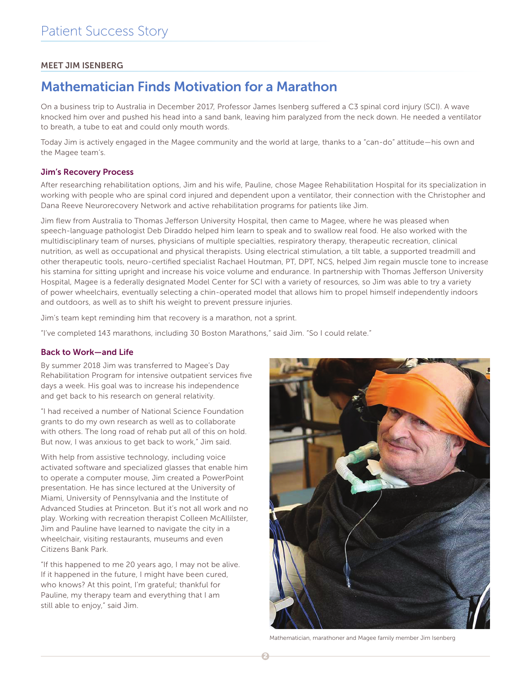### MEET JIM ISENBERG

# Mathematician Finds Motivation for a Marathon

On a business trip to Australia in December 2017, Professor James Isenberg suffered a C3 spinal cord injury (SCI). A wave knocked him over and pushed his head into a sand bank, leaving him paralyzed from the neck down. He needed a ventilator to breath, a tube to eat and could only mouth words.

Today Jim is actively engaged in the Magee community and the world at large, thanks to a "can-do" attitude—his own and the Magee team's.

### Jim's Recovery Process

After researching rehabilitation options, Jim and his wife, Pauline, chose Magee Rehabilitation Hospital for its specialization in working with people who are spinal cord injured and dependent upon a ventilator, their connection with the Christopher and Dana Reeve Neurorecovery Network and active rehabilitation programs for patients like Jim.

Jim flew from Australia to Thomas Jefferson University Hospital, then came to Magee, where he was pleased when speech-language pathologist Deb Diraddo helped him learn to speak and to swallow real food. He also worked with the multidisciplinary team of nurses, physicians of multiple specialties, respiratory therapy, therapeutic recreation, clinical nutrition, as well as occupational and physical therapists. Using electrical stimulation, a tilt table, a supported treadmill and other therapeutic tools, neuro-certified specialist Rachael Houtman, PT, DPT, NCS, helped Jim regain muscle tone to increase his stamina for sitting upright and increase his voice volume and endurance. In partnership with Thomas Jefferson University Hospital, Magee is a federally designated Model Center for SCI with a variety of resources, so Jim was able to try a variety of power wheelchairs, eventually selecting a chin-operated model that allows him to propel himself independently indoors and outdoors, as well as to shift his weight to prevent pressure injuries.

Jim's team kept reminding him that recovery is a marathon, not a sprint.

"I've completed 143 marathons, including 30 Boston Marathons," said Jim. "So I could relate."

### Back to Work—and Life

By summer 2018 Jim was transferred to Magee's Day Rehabilitation Program for intensive outpatient services five days a week. His goal was to increase his independence and get back to his research on general relativity.

"I had received a number of National Science Foundation grants to do my own research as well as to collaborate with others. The long road of rehab put all of this on hold. But now, I was anxious to get back to work," Jim said.

With help from assistive technology, including voice activated software and specialized glasses that enable him to operate a computer mouse, Jim created a PowerPoint presentation. He has since lectured at the University of Miami, University of Pennsylvania and the Institute of Advanced Studies at Princeton. But it's not all work and no play. Working with recreation therapist Colleen McAllilster, Jim and Pauline have learned to navigate the city in a wheelchair, visiting restaurants, museums and even Citizens Bank Park.

"If this happened to me 20 years ago, I may not be alive. If it happened in the future, I might have been cured, who knows? At this point, I'm grateful; thankful for Pauline, my therapy team and everything that I am still able to enjoy," said Jim.



Mathematician, marathoner and Magee family member Jim Isenberg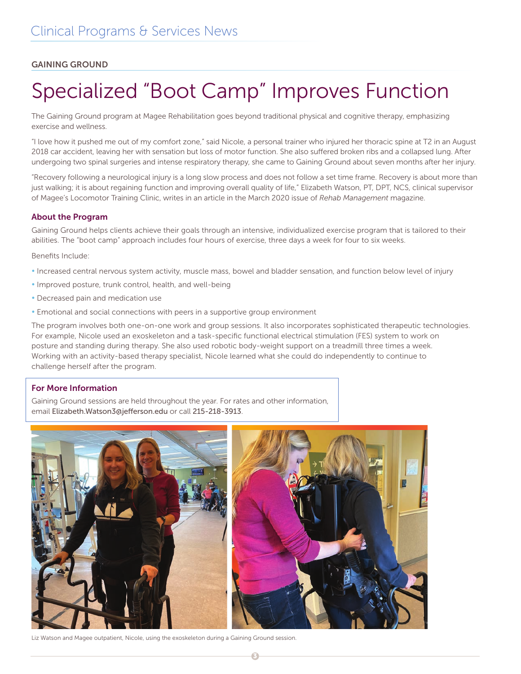### GAINING GROUND

# Specialized "Boot Camp" Improves Function

The Gaining Ground program at Magee Rehabilitation goes beyond traditional physical and cognitive therapy, emphasizing exercise and wellness.

"I love how it pushed me out of my comfort zone," said Nicole, a personal trainer who injured her thoracic spine at T2 in an August 2018 car accident, leaving her with sensation but loss of motor function. She also suffered broken ribs and a collapsed lung. After undergoing two spinal surgeries and intense respiratory therapy, she came to Gaining Ground about seven months after her injury.

"Recovery following a neurological injury is a long slow process and does not follow a set time frame. Recovery is about more than just walking; it is about regaining function and improving overall quality of life," Elizabeth Watson, PT, DPT, NCS, clinical supervisor of Magee's Locomotor Training Clinic, writes in an article in the March 2020 issue of *Rehab Management* magazine.

### About the Program

Gaining Ground helps clients achieve their goals through an intensive, individualized exercise program that is tailored to their abilities. The "boot camp" approach includes four hours of exercise, three days a week for four to six weeks.

Benefits Include:

- Increased central nervous system activity, muscle mass, bowel and bladder sensation, and function below level of injury
- Improved posture, trunk control, health, and well-being
- Decreased pain and medication use
- Emotional and social connections with peers in a supportive group environment

The program involves both one-on-one work and group sessions. It also incorporates sophisticated therapeutic technologies. For example, Nicole used an exoskeleton and a task-specific functional electrical stimulation (FES) system to work on posture and standing during therapy. She also used robotic body-weight support on a treadmill three times a week. Working with an activity-based therapy specialist, Nicole learned what she could do independently to continue to challenge herself after the program.

### For More Information

Gaining Ground sessions are held throughout the year. For rates and other information, email Elizabeth.Watson3@jefferson.edu or call 215-218-3913.



 $\epsilon$ 

Liz Watson and Magee outpatient, Nicole, using the exoskeleton during a Gaining Ground session.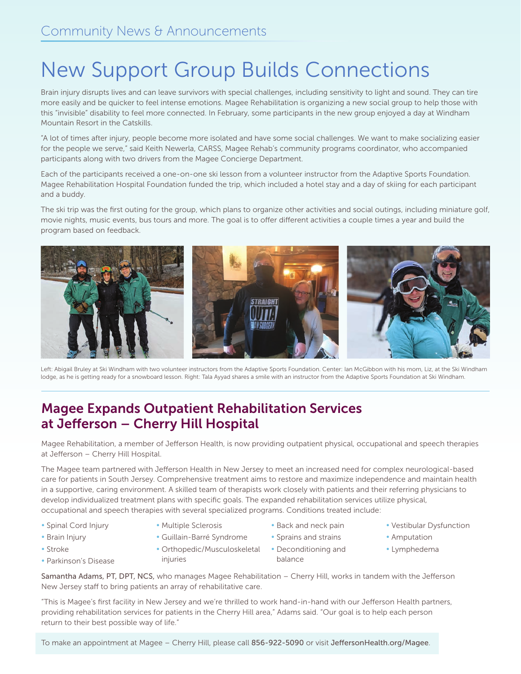# New Support Group Builds Connections

Brain injury disrupts lives and can leave survivors with special challenges, including sensitivity to light and sound. They can tire more easily and be quicker to feel intense emotions. Magee Rehabilitation is organizing a new social group to help those with this "invisible" disability to feel more connected. In February, some participants in the new group enjoyed a day at Windham Mountain Resort in the Catskills.

"A lot of times after injury, people become more isolated and have some social challenges. We want to make socializing easier for the people we serve," said Keith Newerla, CARSS, Magee Rehab's community programs coordinator, who accompanied participants along with two drivers from the Magee Concierge Department.

Each of the participants received a one-on-one ski lesson from a volunteer instructor from the Adaptive Sports Foundation. Magee Rehabilitation Hospital Foundation funded the trip, which included a hotel stay and a day of skiing for each participant and a buddy.

The ski trip was the first outing for the group, which plans to organize other activities and social outings, including miniature golf, movie nights, music events, bus tours and more. The goal is to offer different activities a couple times a year and build the program based on feedback.



Left: Abigail Bruley at Ski Windham with two volunteer instructors from the Adaptive Sports Foundation. Center: Ian McGibbon with his mom, Liz, at the Ski Windham lodge, as he is getting ready for a snowboard lesson. Right: Tala Ayyad shares a smile with an instructor from the Adaptive Sports Foundation at Ski Windham.

# Magee Expands Outpatient Rehabilitation Services at Jefferson – Cherry Hill Hospital

Magee Rehabilitation, a member of Jefferson Health, is now providing outpatient physical, occupational and speech therapies at Jefferson – Cherry Hill Hospital.

The Magee team partnered with Jefferson Health in New Jersey to meet an increased need for complex neurological-based care for patients in South Jersey. Comprehensive treatment aims to restore and maximize independence and maintain health in a supportive, caring environment. A skilled team of therapists work closely with patients and their referring physicians to develop individualized treatment plans with specific goals. The expanded rehabilitation services utilize physical, occupational and speech therapies with several specialized programs. Conditions treated include:

- Spinal Cord Injury
- Brain Injury
- Stroke
	-
- Multiple Sclerosis
- Guillain-Barré Syndrome • Back and neck pain
	- Sprains and strains
	-
- Vestibular Dysfunction
- Amputation
- Lymphedema

• Parkinson's Disease

• Orthopedic/Musculoskeletal • Deconditioning and injuries

- balance
	-

Samantha Adams, PT, DPT, NCS, who manages Magee Rehabilitation – Cherry Hill, works in tandem with the Jefferson New Jersey staff to bring patients an array of rehabilitative care.

"This is Magee's first facility in New Jersey and we're thrilled to work hand-in-hand with our Jefferson Health partners, providing rehabilitation services for patients in the Cherry Hill area," Adams said. "Our goal is to help each person return to their best possible way of life."

To make an appointment at Magee – Cherry Hill, please call 856-922-5090 or visit JeffersonHealth.org/Magee.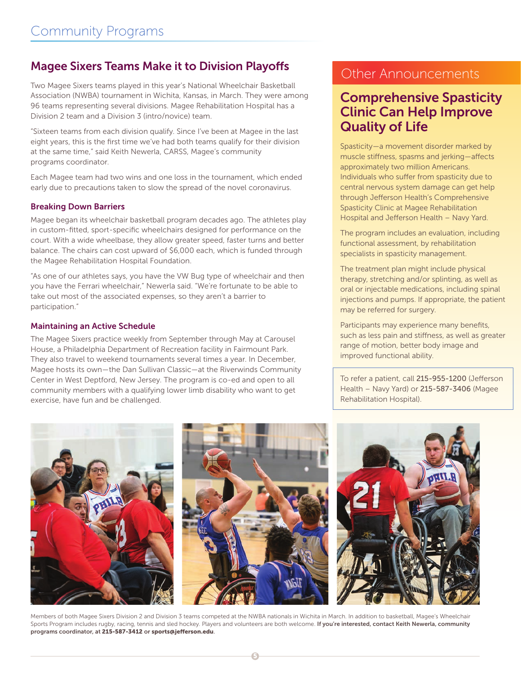### Magee Sixers Teams Make it to Division Playoffs

Two Magee Sixers teams played in this year's National Wheelchair Basketball Association (NWBA) tournament in Wichita, Kansas, in March. They were among 96 teams representing several divisions. Magee Rehabilitation Hospital has a Division 2 team and a Division 3 (intro/novice) team.

"Sixteen teams from each division qualify. Since I've been at Magee in the last eight years, this is the first time we've had both teams qualify for their division at the same time," said Keith Newerla, CARSS, Magee's community programs coordinator.

Each Magee team had two wins and one loss in the tournament, which ended early due to precautions taken to slow the spread of the novel coronavirus.

### Breaking Down Barriers

Magee began its wheelchair basketball program decades ago. The athletes play in custom-fitted, sport-specific wheelchairs designed for performance on the court. With a wide wheelbase, they allow greater speed, faster turns and better balance. The chairs can cost upward of \$6,000 each, which is funded through the Magee Rehabilitation Hospital Foundation.

"As one of our athletes says, you have the VW Bug type of wheelchair and then you have the Ferrari wheelchair," Newerla said. "We're fortunate to be able to take out most of the associated expenses, so they aren't a barrier to participation."

### Maintaining an Active Schedule

The Magee Sixers practice weekly from September through May at Carousel House, a Philadelphia Department of Recreation facility in Fairmount Park. They also travel to weekend tournaments several times a year. In December, Magee hosts its own—the Dan Sullivan Classic—at the Riverwinds Community Center in West Deptford, New Jersey. The program is co-ed and open to all community members with a qualifying lower limb disability who want to get exercise, have fun and be challenged.

### Other Announcements

## Comprehensive Spasticity Clinic Can Help Improve Quality of Life

Spasticity—a movement disorder marked by muscle stiffness, spasms and jerking—affects approximately two million Americans. Individuals who suffer from spasticity due to central nervous system damage can get help through Jefferson Health's Comprehensive Spasticity Clinic at Magee Rehabilitation Hospital and Jefferson Health – Navy Yard.

The program includes an evaluation, including functional assessment, by rehabilitation specialists in spasticity management.

The treatment plan might include physical therapy, stretching and/or splinting, as well as oral or injectable medications, including spinal injections and pumps. If appropriate, the patient may be referred for surgery.

Participants may experience many benefits, such as less pain and stiffness, as well as greater range of motion, better body image and improved functional ability.

To refer a patient, call 215-955-1200 (Jefferson Health – Navy Yard) or 215-587-3406 (Magee Rehabilitation Hospital).



Members of both Magee Sixers Division 2 and Division 3 teams competed at the NWBA nationals in Wichita in March. In addition to basketball, Magee's Wheelchair Sports Program includes rugby, racing, tennis and sled hockey. Players and volunteers are both welcome. If you're interested, contact Keith Newerla, community programs coordinator, at 215-587-3412 or sports@jefferson.edu.

5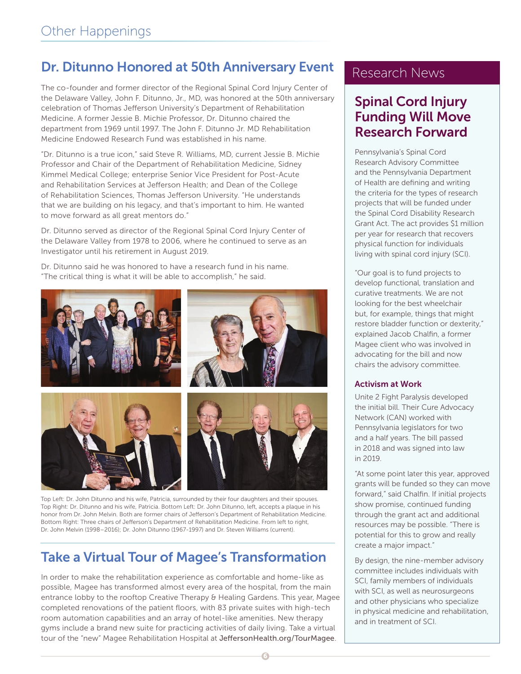# Dr. Ditunno Honored at 50th Anniversary Event

The co-founder and former director of the Regional Spinal Cord Injury Center of the Delaware Valley, John F. Ditunno, Jr., MD, was honored at the 50th anniversary celebration of Thomas Jefferson University's Department of Rehabilitation Medicine. A former Jessie B. Michie Professor, Dr. Ditunno chaired the department from 1969 until 1997. The John F. Ditunno Jr. MD Rehabilitation Medicine Endowed Research Fund was established in his name.

"Dr. Ditunno is a true icon," said Steve R. Williams, MD, current Jessie B. Michie Professor and Chair of the Department of Rehabilitation Medicine, Sidney Kimmel Medical College; enterprise Senior Vice President for Post-Acute and Rehabilitation Services at Jefferson Health; and Dean of the College of Rehabilitation Sciences, Thomas Jefferson University. "He understands that we are building on his legacy, and that's important to him. He wanted to move forward as all great mentors do."

Dr. Ditunno served as director of the Regional Spinal Cord Injury Center of the Delaware Valley from 1978 to 2006, where he continued to serve as an Investigator until his retirement in August 2019.

Dr. Ditunno said he was honored to have a research fund in his name. "The critical thing is what it will be able to accomplish," he said.



Top Left: Dr. John Ditunno and his wife, Patricia, surrounded by their four daughters and their spouses. Top Right: Dr. Ditunno and his wife, Patricia. Bottom Left: Dr. John Ditunno, left, accepts a plaque in his honor from Dr. John Melvin. Both are former chairs of Jefferson's Department of Rehabilitation Medicine. Bottom Right: Three chairs of Jefferson's Department of Rehabilitation Medicine. From left to right, Dr. John Melvin (1998–2016); Dr. John Ditunno (1967-1997) and Dr. Steven Williams (current).

# Take a Virtual Tour of Magee's Transformation

In order to make the rehabilitation experience as comfortable and home-like as possible, Magee has transformed almost every area of the hospital, from the main entrance lobby to the rooftop Creative Therapy & Healing Gardens. This year, Magee completed renovations of the patient floors, with 83 private suites with high-tech room automation capabilities and an array of hotel-like amenities. New therapy gyms include a brand new suite for practicing activities of daily living. Take a virtual tour of the "new" Magee Rehabilitation Hospital at JeffersonHealth.org/TourMagee.

## Research News

# Spinal Cord Injury Funding Will Move Research Forward

Pennsylvania's Spinal Cord Research Advisory Committee and the Pennsylvania Department of Health are defining and writing the criteria for the types of research projects that will be funded under the Spinal Cord Disability Research Grant Act. The act provides \$1 million per year for research that recovers physical function for individuals living with spinal cord injury (SCI).

"Our goal is to fund projects to develop functional, translation and curative treatments. We are not looking for the best wheelchair but, for example, things that might restore bladder function or dexterity," explained Jacob Chalfin, a former Magee client who was involved in advocating for the bill and now chairs the advisory committee.

### Activism at Work

Unite 2 Fight Paralysis developed the initial bill. Their Cure Advocacy Network (CAN) worked with Pennsylvania legislators for two and a half years. The bill passed in 2018 and was signed into law in 2019.

"At some point later this year, approved grants will be funded so they can move forward," said Chalfin. If initial projects show promise, continued funding through the grant act and additional resources may be possible. "There is potential for this to grow and really create a major impact."

By design, the nine-member advisory committee includes individuals with SCI, family members of individuals with SCI, as well as neurosurgeons and other physicians who specialize in physical medicine and rehabilitation, and in treatment of SCI.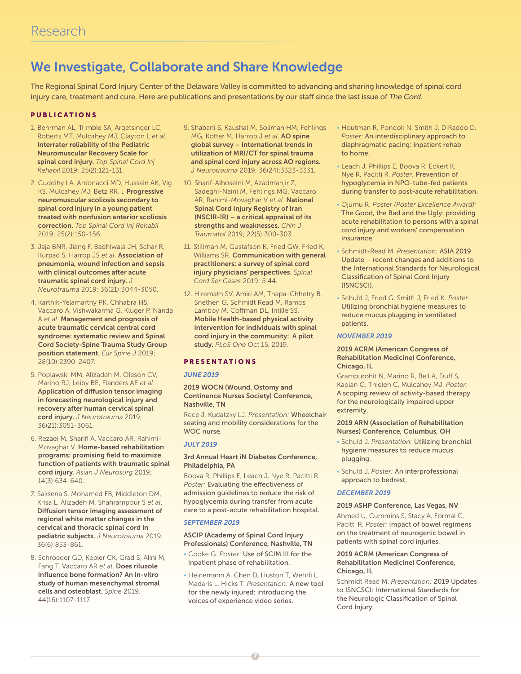# We Investigate, Collaborate and Share Knowledge

The Regional Spinal Cord Injury Center of the Delaware Valley is committed to advancing and sharing knowledge of spinal cord injury care, treatment and cure. Here are publications and presentations by our staff since the last issue of *The Cord.*

### PUBLICATIONS

- 1. Behrman AL, Trimble SA, Argetsinger LC, Roberts MT, Mulcahey MJ, Clayton L *et al*. Interrater reliability of the Pediatric Neuromuscular Recovery Scale for spinal cord injury. *Top Spinal Cord Inj Rehabil* 2019; 25(2):121-131.
- 2. Cuddihy LA, Antonacci MD, Hussain AK, Vig KS, Mulcahey MJ, Betz RR. l. Progressive neuromuscular scoliosis secondary to spinal cord injury in a young patient treated with nonfusion anterior scoliosis correction. *Top Spinal Cord Inj Rehabil* 2019; 25(2):150-156.
- 3. Jaja BNR, Jiang F, Badhiwala JH, Schar R, Kurpad S, Harrop JS *et al*. Association of pneumonia, wound infection and sepsis with clinical outcomes after acute traumatic spinal cord injury. *J Neurotrauma* 2019; 36(21):3044-3050.
- 4. Karthik-Yelamarthy PK, Chhabra HS, Vaccaro A, Vishwakarma G, Kluger P, Nanda A *et al*. Management and prognosis of acute traumatic cervical central cord syndrome: systematic review and Spinal Cord Society-Spine Trauma Study Group position statement. *Eur Spine J* 2019; 28(10):2390-2407.
- 5. Poplawski MM, Alizadeh M, Oleson CV, Marino RJ, Leiby BE, Flanders AE *et al*. Application of diffusion tensor imaging in forecasting neurological injury and recovery after human cervical spinal cord injury. *J Neurotrauma* 2019; 36(21):3051-3061.
- 6. Rezaei M, Sharifi A, Vaccaro AR, Rahimi-Movaghar V. Home-based rehabilitation programs: promising field to maximize function of patients with traumatic spinal cord injury. *Asian J Neurosurg* 2019; 14(3):634-640.
- 7. Saksena S, Mohamed FB, Middleton DM, Krisa L, Alizadeh M, Shahrampour S *et al*. Diffusion tensor imaging assessment of regional white matter changes in the cervical and thoracic spinal cord in pediatric subjects. *J Neurotrauma* 2019; 36(6):853-861.
- 8. Schroeder GD, Kepler CK, Grad S, Alini M, Fang T, Vaccaro AR *et al*. Does riluzole influence bone formation? An in-vitro study of human mesenchymal stromal cells and osteoblast. *Spine* 2019; 44(16):1107-1117.
- 9. Shabani S, Kaushal M, Soliman HM, Fehlings MG, Kotter M, Harrop J *et al*. AO spine global survey – international trends in utilization of MRI/CT for spinal trauma and spinal cord injury across AO regions. *J Neurotrauma* 2019; 36(24):3323-3331.
- 10. Sharif-Alhoseini M, Azadmanjir Z, Sadeghi-Naini M, Fehlings MG, Vaccaro AR, Rahimi-Movaghar V *et al*. National Spinal Cord Injury Registry of Iran (NSCIR-IR) – a critical appraisal of its strengths and weaknesses. *Chin J Traumatol* 2019; 22(5):300-303.
- 11. Stillman M, Gustafson K, Fried GW, Fried K, Williams SR. Communication with general practitioners: a survey of spinal cord injury physicians' perspectives. *Spinal Cord Ser Cases* 2019; 5:44.
- 12. Hiremath SV, Amiri AM, Thapa-Chhetry B, Snethen G, Schmidt Read M, Ramos Lamboy M, Coffman DL, Intille SS. Mobile Health-based physical activity intervention for individuals with spinal cord injury in the community: A pilot study. *PLoS One* Oct 15, 2019.

### **PRESENTATIONS**

#### *JUNE 2019*

#### 2019 WOCN (Wound, Ostomy and Continence Nurses Society) Conference, Nashville, TN

Rece J, Kudatzky LJ. *Presentation:* Wheelchair seating and mobility considerations for the WOC nurse.

### *JULY 2019*

#### 3rd Annual Heart iN Diabetes Conference, Philadelphia, PA

Boova R, Phillips E, Leach J, Nye R, Pacitti R. *Poster:* Evaluating the effectiveness of admission guidelines to reduce the risk of hypoglycemia during transfer from acute care to a post-acute rehabilitation hospital.

#### *SEPTEMBER 2019*

#### ASCIP (Academy of Spinal Cord Injury Professionals) Conference, Nashville, TN

- Cooke G. *Poster:* Use of SCIM III for the inpatient phase of rehabilitation.
- Heinemann A, Chen D, Huston T, Wehrli L, Madaris L, Hicks T. *Presentation:* A new tool for the newly injured: introducing the voices of experience video series.
- Houtman R, Pondok N, Smith J, DiRaddo D. *Poster:* An interdisciplinary approach to diaphragmatic pacing: inpatient rehab to home.
- Leach J, Phillips E, Boova R, Eckert K, Nye R, Pacitti R. *Poster:* Prevention of hypoglycemia in NPO-tube-fed patients during transfer to post-acute rehabilitation.
- Ojumu R. *Poster (Poster Excellence Award):* The Good, the Bad and the Ugly: providing acute rehabilitation to persons with a spinal cord injury and workers' compensation insurance.
- Schmidt-Read M. *Presentation:* ASIA 2019 Update – recent changes and additions to the International Standards for Neurological Classification of Spinal Cord Injury (ISNCSCI).
- Schuld J, Fried G, Smith J, Fried K. *Poster:* Utilizing bronchial hygiene measures to reduce mucus plugging in ventilated patients.

#### *NOVEMBER 2019*

#### 2019 ACRM (American Congress of Rehabilitation Medicine) Conference, Chicago, IL

Grampurohit N, Marino R, Bell A, Duff S, Kaplan G, Thielen C, Mulcahey MJ. *Poster:* A scoping review of activity-based therapy for the neurologically impaired upper extremity.

#### 2019 ARN (Association of Rehabilitation Nurses) Conference, Columbus, OH

- Schuld J. *Presentation:* Utilizing bronchial hygiene measures to reduce mucus plugging.
- Schuld J. *Poster:* An interprofessional approach to bedrest.

#### *DECEMBER 2019*

#### 2019 ASHP Conference, Las Vegas, NV

Ahmed U, Cummins S, Stacy A, Formal C, Pacitti R. *Poster:* Impact of bowel regimens on the treatment of neurogenic bowel in patients with spinal cord injuries.

#### 2019 ACRM (American Congress of Rehabilitation Medicine) Conference, Chicago, IL

Schmidt Read M. *Presentation:* 2019 Updates to ISNCSCI: International Standards for the Neurologic Classification of Spinal Cord Injury.